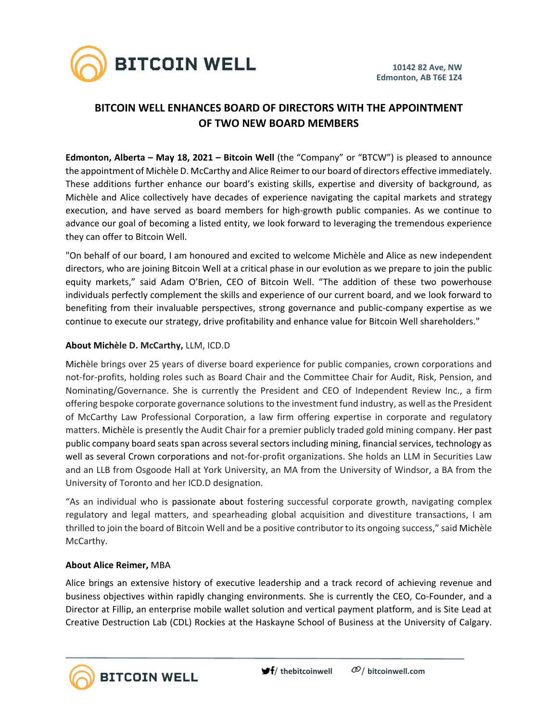

# **BITCOIN WELL ENHANCES BOARD OF DIRECTORS WITH THE APPOINTMENT OF TWO NEW BOARD MEMBERS**

**Edmonton, Alberta – May 18, 2021 – Bitcoin Well** (the "Company" or "BTCW") is pleased to announce the appointment of Michèle D. McCarthy and Alice Reimer to our board of directors effective immediately. These additions further enhance our board's existing skills, expertise and diversity of background, as Michèle and Alice collectively have decades of experience navigating the capital markets and strategy execution, and have served as board members for high-growth public companies. As we continue to advance our goal of becoming a listed entity, we look forward to leveraging the tremendous experience they can offer to Bitcoin Well.

"On behalf of our board, I am honoured and excited to welcome Michèle and Alice as new independent directors, who are joining Bitcoin Well at a critical phase in our evolution as we prepare to join the public equity markets," said Adam O'Brien, CEO of Bitcoin Well. "The addition of these two powerhouse individuals perfectly complement the skills and experience of our current board, and we look forward to benefiting from their invaluable perspectives, strong governance and public-company expertise as we continue to execute our strategy, drive profitability and enhance value for Bitcoin Well shareholders."

# **About Michèle D. McCarthy,** LLM, ICD.D

Michèle brings over 25 years of diverse board experience for public companies, crown corporations and not-for-profits, holding roles such as Board Chair and the Committee Chair for Audit, Risk, Pension, and Nominating/Governance. She is currently the President and CEO of Independent Review Inc., a firm offering bespoke corporate governance solutionsto the investment fund industry, as well asthe President of McCarthy Law Professional Corporation, a law firm offering expertise in corporate and regulatory matters. Michèle is presently the Audit Chair for a premier publicly traded gold mining company. Her past public company board seats span across several sectors including mining, financial services, technology as well as several Crown corporations and not-for-profit organizations. She holds an LLM in Securities Law and an LLB from Osgoode Hall at York University, an MA from the University of Windsor, a BA from the University of Toronto and her ICD.D designation.

"As an individual who is passionate about fostering successful corporate growth, navigating complex regulatory and legal matters, and spearheading global acquisition and divestiture transactions, I am thrilled to join the board of Bitcoin Well and be a positive contributor to its ongoing success," said Michèle McCarthy.

### **About Alice Reimer,** MBA

**BITCOIN WELL** 

Alice brings an extensive history of executive leadership and a track record of achieving revenue and business objectives within rapidly changing environments. She is currently the CEO, Co-Founder, and a Director at Fillip, an enterprise mobile wallet solution and vertical payment platform, and is Site Lead at Creative Destruction Lab (CDL) Rockies at the Haskayne School of Business at the University of Calgary.